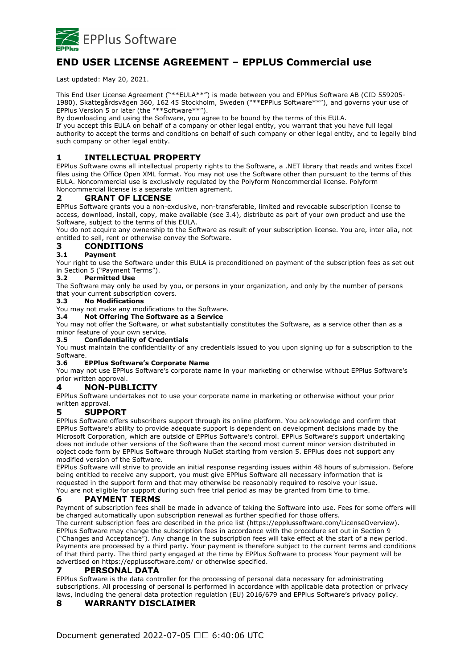

# **END USER LICENSE AGREEMENT – EPPLUS Commercial use**

Last updated: May 20, 2021.

This End User License Agreement ("\*\*EULA\*\*") is made between you and EPPlus Software AB (CID 559205- 1980), Skattegårdsvägen 360, 162 45 Stockholm, Sweden ("\*\*EPPlus Software\*\*"), and governs your use of EPPlus Version 5 or later (the "\*\*Software\*\*").

By downloading and using the Software, you agree to be bound by the terms of this EULA.

If you accept this EULA on behalf of a company or other legal entity, you warrant that you have full legal authority to accept the terms and conditions on behalf of such company or other legal entity, and to legally bind such company or other legal entity.

# **1 INTELLECTUAL PROPERTY**

EPPlus Software owns all intellectual property rights to the Software, a .NET library that reads and writes Excel files using the Office Open XML format. You may not use the Software other than pursuant to the terms of this EULA. Noncommercial use is exclusively regulated by the Polyform Noncommercial license. Polyform Noncommercial license is a separate written agrement.

### **2 GRANT OF LICENSE**

EPPlus Software grants you a non-exclusive, non-transferable, limited and revocable subscription license to access, download, install, copy, make available (see 3.4), distribute as part of your own product and use the Software, subject to the terms of this EULA.

You do not acquire any ownership to the Software as result of your subscription license. You are, inter alia, not entitled to sell, rent or otherwise convey the Software.

### **3 CONDITIONS**

#### **3.1 Payment**

Your right to use the Software under this EULA is preconditioned on payment of the subscription fees as set out in Section 5 ("Payment Terms").

#### **3.2 Permitted Use**

The Software may only be used by you, or persons in your organization, and only by the number of persons that your current subscription covers.

#### **3.3 No Modifications**

You may not make any modifications to the Software.

**3.4 Not Offering The Software as a Service**

You may not offer the Software, or what substantially constitutes the Software, as a service other than as a minor feature of your own service.

#### **3.5 Confidentiality of Credentials**

You must maintain the confidentiality of any credentials issued to you upon signing up for a subscription to the Software.

#### **3.6 EPPlus Software's Corporate Name**

You may not use EPPlus Software's corporate name in your marketing or otherwise without EPPlus Software's prior written approval.

#### **4 NON-PUBLICITY**

EPPlus Software undertakes not to use your corporate name in marketing or otherwise without your prior written approval.

#### **5 SUPPORT**

EPPlus Software offers subscribers support through its online platform. You acknowledge and confirm that EPPlus Software's ability to provide adequate support is dependent on development decisions made by the Microsoft Corporation, which are outside of EPPlus Software's control. EPPlus Software's support undertaking does not include other versions of the Software than the second most current minor version distributed in object code form by EPPlus Software through NuGet starting from version 5. EPPlus does not support any modified version of the Software.

EPPlus Software will strive to provide an initial response regarding issues within 48 hours of submission. Before being entitled to receive any support, you must give EPPlus Software all necessary information that is requested in the support form and that may otherwise be reasonably required to resolve your issue. You are not eligible for support during such free trial period as may be granted from time to time.

#### **6 PAYMENT TERMS**

Payment of subscription fees shall be made in advance of taking the Software into use. Fees for some offers will be charged automatically upon subscription renewal as further specified for those offers.

The current subscription fees are described in the price list (https://epplussoftware.com/LicenseOverview). EPPlus Software may change the subscription fees in accordance with the procedure set out in Section 9 ("Changes and Acceptance"). Any change in the subscription fees will take effect at the start of a new period. Payments are processed by a third party. Your payment is therefore subject to the current terms and conditions of that third party. The third party engaged at the time by EPPlus Software to process Your payment will be advertised on https://epplussoftware.com/ or otherwise specified.

#### **7 PERSONAL DATA**

EPPlus Software is the data controller for the processing of personal data necessary for administrating subscriptions. All processing of personal is performed in accordance with applicable data protection or privacy laws, including the general data protection regulation (EU) 2016/679 and EPPlus Software's privacy policy.

#### **8 WARRANTY DISCLAIMER**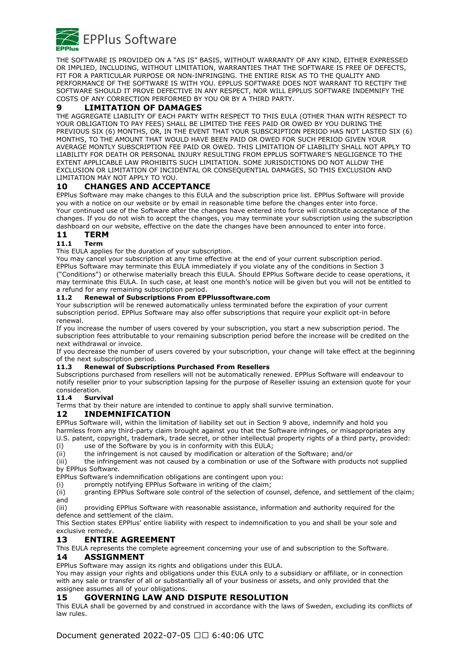

THE SOFTWARE IS PROVIDED ON A "AS IS" BASIS, WITHOUT WARRANTY OF ANY KIND, EITHER EXPRESSED OR IMPLIED, INCLUDING, WITHOUT LIMITATION, WARRANTIES THAT THE SOFTWARE IS FREE OF DEFECTS, FIT FOR A PARTICULAR PURPOSE OR NON-INFRINGING. THE ENTIRE RISK AS TO THE QUALITY AND PERFORMANCE OF THE SOFTWARE IS WITH YOU. EPPLUS SOFTWARE DOES NOT WARRANT TO RECTIFY THE SOFTWARE SHOULD IT PROVE DEFECTIVE IN ANY RESPECT, NOR WILL EPPLUS SOFTWARE INDEMNIFY THE COSTS OF ANY CORRECTION PERFORMED BY YOU OR BY A THIRD PARTY.

#### **9 LIMITATION OF DAMAGES**

THE AGGREGATE LIABILITY OF EACH PARTY WITH RESPECT TO THIS EULA (OTHER THAN WITH RESPECT TO YOUR OBLIGATION TO PAY FEES) SHALL BE LIMITED THE FEES PAID OR OWED BY YOU DURING THE PREVIOUS SIX (6) MONTHS, OR, IN THE EVENT THAT YOUR SUBSCRIPTION PERIOD HAS NOT LASTED SIX (6) MONTHS, TO THE AMOUNT THAT WOULD HAVE BEEN PAID OR OWED FOR SUCH PERIOD GIVEN YOUR AVERAGE MONTLY SUBSCRIPTION FEE PAID OR OWED. THIS LIMITATION OF LIABILITY SHALL NOT APPLY TO LIABILITY FOR DEATH OR PERSONAL INJURY RESULTING FROM EPPLUS SOFTWARE'S NEGLIGENCE TO THE EXTENT APPLICABLE LAW PROHIBITS SUCH LIMITATION. SOME JURISDICTIONS DO NOT ALLOW THE EXCLUSION OR LIMITATION OF INCIDENTAL OR CONSEQUENTIAL DAMAGES, SO THIS EXCLUSION AND LIMITATION MAY NOT APPLY TO YOU.

## **10 CHANGES AND ACCEPTANCE**

EPPlus Software may make changes to this EULA and the subscription price list. EPPlus Software will provide you with a notice on our website or by email in reasonable time before the changes enter into force. Your continued use of the Software after the changes have entered into force will constitute acceptance of the changes. If you do not wish to accept the changes, you may terminate your subscription using the subscription dashboard on our website, effective on the date the changes have been announced to enter into force.

### **11 TERM**

# **11.1 Term**

This EULA applies for the duration of your subscription.

You may cancel your subscription at any time effective at the end of your current subscription period. EPPlus Software may terminate this EULA immediately if you violate any of the conditions in Section 3 ("Conditions") or otherwise materially breach this EULA. Should EPPlus Software decide to cease operations, it may terminate this EULA. In such case, at least one month's notice will be given but you will not be entitled to a refund for any remaining subscription period.

#### **11.2 Renewal of Subscriptions From EPPlussoftware.com**

Your subscription will be renewed automatically unless terminated before the expiration of your current subscription period. EPPlus Software may also offer subscriptions that require your explicit opt-in before renewal.

If you increase the number of users covered by your subscription, you start a new subscription period. The subscription fees attributable to your remaining subscription period before the increase will be credited on the next withdrawal or invoice.

If you decrease the number of users covered by your subscription, your change will take effect at the beginning of the next subscription period.

#### **11.3 Renewal of Subscriptions Purchased From Resellers**

Subscriptions purchased from resellers will not be automatically renewed. EPPlus Software will endeavour to notify reseller prior to your subscription lapsing for the purpose of Reseller issuing an extension quote for your consideration.

#### **11.4 Survival**

Terms that by their nature are intended to continue to apply shall survive termination.

#### **12 INDEMNIFICATION**

EPPlus Software will, within the limitation of liability set out in Section 9 above, indemnify and hold you harmless from any third-party claim brought against you that the Software infringes, or misappropriates any U.S. patent, copyright, trademark, trade secret, or other intellectual property rights of a third party, provided:

(i) use of the Software by you is in conformity with this EULA;

(ii) the infringement is not caused by modification or alteration of the Software; and/or

(iii) the infringement was not caused by a combination or use of the Software with products not supplied by EPPlus Software.

EPPlus Software's indemnification obligations are contingent upon you:

(i) promptly notifying EPPlus Software in writing of the claim;

(ii) granting EPPlus Software sole control of the selection of counsel, defence, and settlement of the claim; and

(iii) providing EPPlus Software with reasonable assistance, information and authority required for the defence and settlement of the claim.

This Section states EPPlus' entire liability with respect to indemnification to you and shall be your sole and exclusive remedy.

#### **13 ENTIRE AGREEMENT**

This EULA represents the complete agreement concerning your use of and subscription to the Software. **14 ASSIGNMENT**

EPPlus Software may assign its rights and obligations under this EULA.

You may assign your rights and obligations under this EULA only to a subsidiary or affiliate, or in connection with any sale or transfer of all or substantially all of your business or assets, and only provided that the assignee assumes all of your obligations.

#### **15 GOVERNING LAW AND DISPUTE RESOLUTION**

This EULA shall be governed by and construed in accordance with the laws of Sweden, excluding its conflicts of law rules.